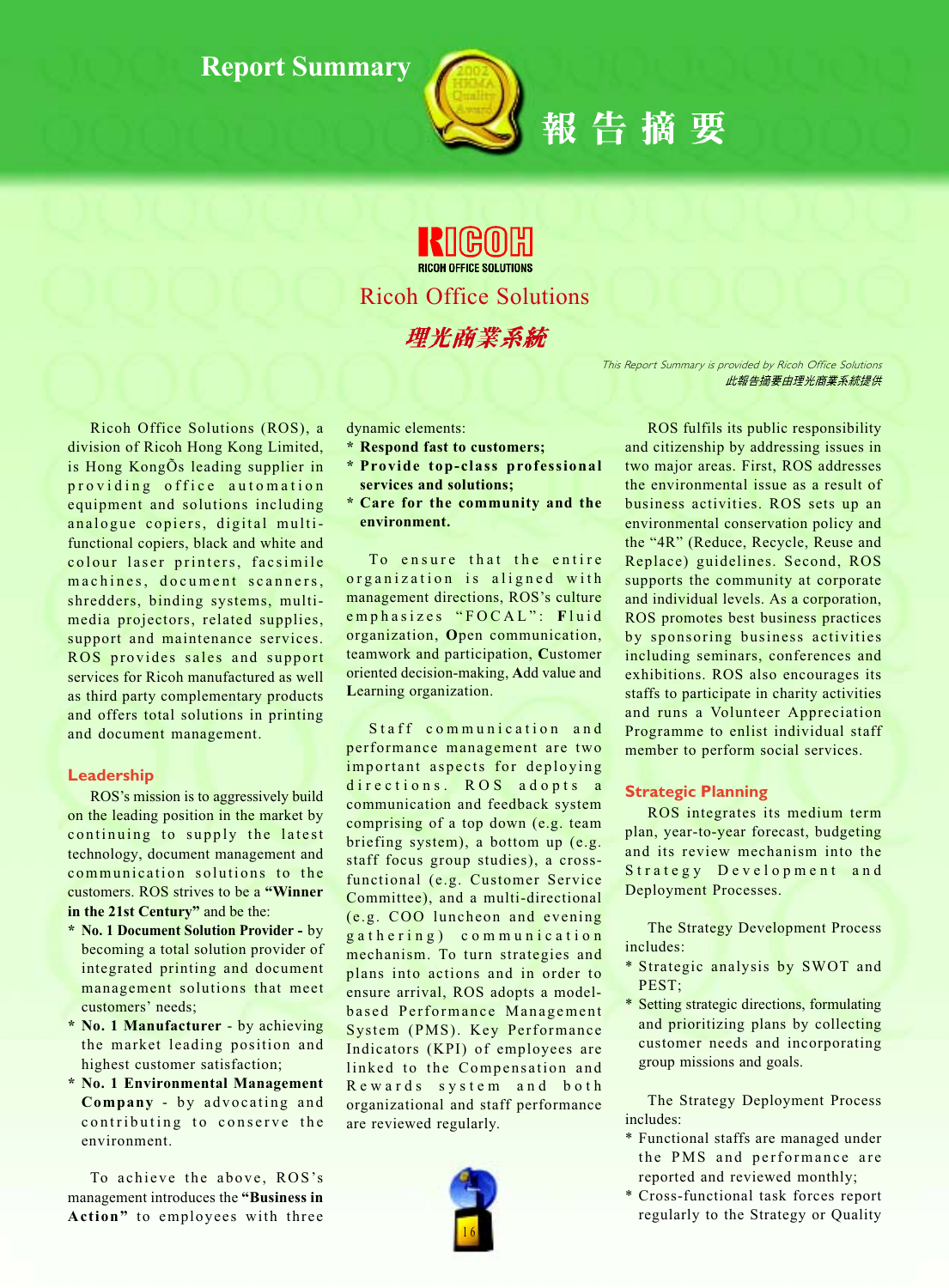

**RICOH OFFICE SOLUTIONS Ricoh Office Solutions** 理光商業系統

> This Report Summary is provided by Ricoh Office Solutions 此報告摘要由理光商業系統提供

Ricoh Office Solutions (ROS), a division of Ricoh Hong Kong Limited, is Hong KongÕs leading supplier in providing office automation equipment and solutions including analogue copiers, digital multifunctional copiers, black and white and colour laser printers, facsimile machines, document scanners, shredders, binding systems, multimedia projectors, related supplies, support and maintenance services. ROS provides sales and support services for Ricoh manufactured as well as third party complementary products and offers total solutions in printing and document management.

#### Leadership

ROS's mission is to aggressively build on the leading position in the market by continuing to supply the latest technology, document management and communication solutions to the customers. ROS strives to be a "Winner" in the 21st Century" and be the:

- \* No. 1 Document Solution Provider by becoming a total solution provider of integrated printing and document management solutions that meet customers' needs;
- \* No. 1 Manufacturer by achieving the market leading position and highest customer satisfaction;
- \* No. 1 Environmental Management Company - by advocating and contributing to conserve the environment.

To achieve the above, ROS's management introduces the "Business in Action" to employees with three dynamic elements:

- \* Respond fast to customers;
- \* Provide top-class professional services and solutions;
- \* Care for the community and the environment.

To ensure that the entire organization is aligned with management directions, ROS's culture emphasizes "FOCAL": Fluid organization, Open communication, teamwork and participation, Customer oriented decision-making, Add value and Learning organization.

Staff communication and performance management are two important aspects for deploying directions. ROS adopts a communication and feedback system comprising of a top down (e.g. team briefing system), a bottom up (e.g. staff focus group studies), a crossfunctional (e.g. Customer Service Committee), and a multi-directional (e.g. COO luncheon and evening gathering) communication mechanism. To turn strategies and plans into actions and in order to ensure arrival, ROS adopts a modelbased Performance Management System (PMS). Key Performance Indicators (KPI) of employees are linked to the Compensation and Rewards system and both organizational and staff performance are reviewed regularly.



ROS fulfils its public responsibility and citizenship by addressing issues in two major areas. First, ROS addresses the environmental issue as a result of business activities. ROS sets up an environmental conservation policy and the "4R" (Reduce, Recycle, Reuse and Replace) guidelines. Second, ROS supports the community at corporate and individual levels. As a corporation, ROS promotes best business practices by sponsoring business activities including seminars, conferences and exhibitions. ROS also encourages its staffs to participate in charity activities and runs a Volunteer Appreciation Programme to enlist individual staff member to perform social services.

#### **Strategic Planning**

ROS integrates its medium term plan, year-to-year forecast, budgeting and its review mechanism into the Strategy Development and Deployment Processes.

The Strategy Development Process includes:

- \* Strategic analysis by SWOT and PEST;
- \* Setting strategic directions, formulating and prioritizing plans by collecting customer needs and incorporating group missions and goals.

The Strategy Deployment Process includes:

- \* Functional staffs are managed under the PMS and performance are reported and reviewed monthly;
- \* Cross-functional task forces report regularly to the Strategy or Quality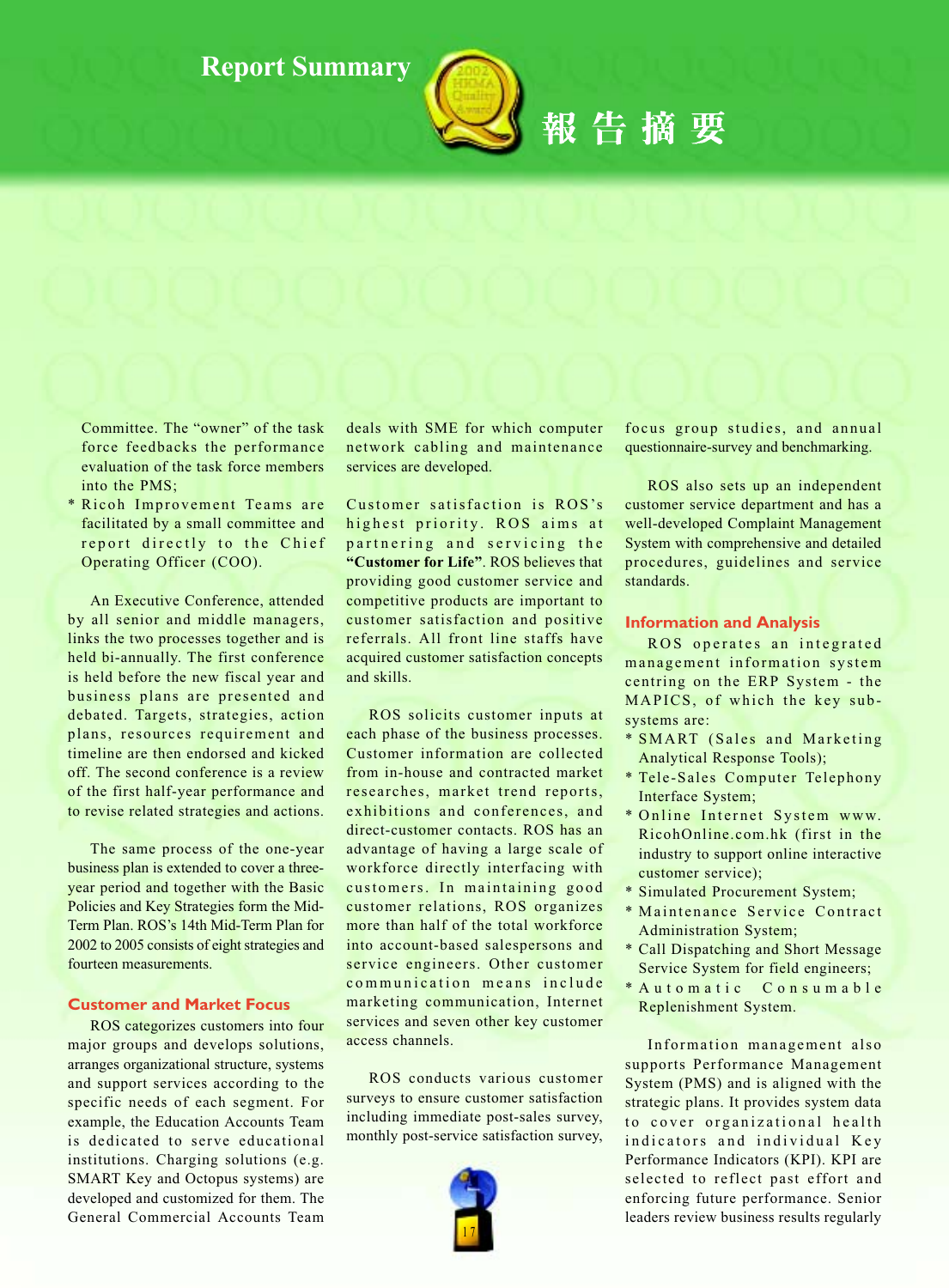

報告摘要

Committee. The "owner" of the task force feedbacks the performance evaluation of the task force members into the PMS:

\* Ricoh Improvement Teams are facilitated by a small committee and report directly to the Chief Operating Officer (COO).

An Executive Conference, attended by all senior and middle managers, links the two processes together and is held bi-annually. The first conference is held before the new fiscal year and business plans are presented and debated. Targets, strategies, action plans, resources requirement and timeline are then endorsed and kicked off. The second conference is a review of the first half-year performance and to revise related strategies and actions.

The same process of the one-year business plan is extended to cover a threeyear period and together with the Basic Policies and Key Strategies form the Mid-Term Plan. ROS's 14th Mid-Term Plan for 2002 to 2005 consists of eight strategies and fourteen measurements.

#### **Customer and Market Focus**

ROS categorizes customers into four major groups and develops solutions, arranges organizational structure, systems and support services according to the specific needs of each segment. For example, the Education Accounts Team is dedicated to serve educational institutions. Charging solutions (e.g. SMART Key and Octopus systems) are developed and customized for them. The General Commercial Accounts Team deals with SME for which computer network cabling and maintenance services are developed.

Customer satisfaction is ROS's highest priority. ROS aims at partnering and servicing the "Customer for Life". ROS believes that providing good customer service and competitive products are important to customer satisfaction and positive referrals. All front line staffs have acquired customer satisfaction concepts and skills.

ROS solicits customer inputs at each phase of the business processes. Customer information are collected from in-house and contracted market researches, market trend reports, exhibitions and conferences, and direct-customer contacts. ROS has an advantage of having a large scale of workforce directly interfacing with customers. In maintaining good customer relations, ROS organizes more than half of the total workforce into account-based salespersons and service engineers. Other customer communication means include marketing communication, Internet services and seven other key customer access channels.

ROS conducts various customer surveys to ensure customer satisfaction including immediate post-sales survey, monthly post-service satisfaction survey,



focus group studies, and annual questionnaire-survey and benchmarking.

ROS also sets up an independent customer service department and has a well-developed Complaint Management System with comprehensive and detailed procedures, guidelines and service standards.

#### **Information and Analysis**

ROS operates an integrated management information system centring on the ERP System - the MAPICS, of which the key subsystems are:

- \* SMART (Sales and Marketing **Analytical Response Tools);**
- \* Tele-Sales Computer Telephony Interface System;
- \* Online Internet System www. RicohOnline.com.hk (first in the industry to support online interactive customer service);
- \* Simulated Procurement System;
- \* Maintenance Service Contract **Administration System;**
- \* Call Dispatching and Short Message Service System for field engineers;
- \* Automatic Consumable Replenishment System.

Information management also supports Performance Management System (PMS) and is aligned with the strategic plans. It provides system data to cover organizational health indicators and individual Key Performance Indicators (KPI). KPI are selected to reflect past effort and enforcing future performance. Senior leaders review business results regularly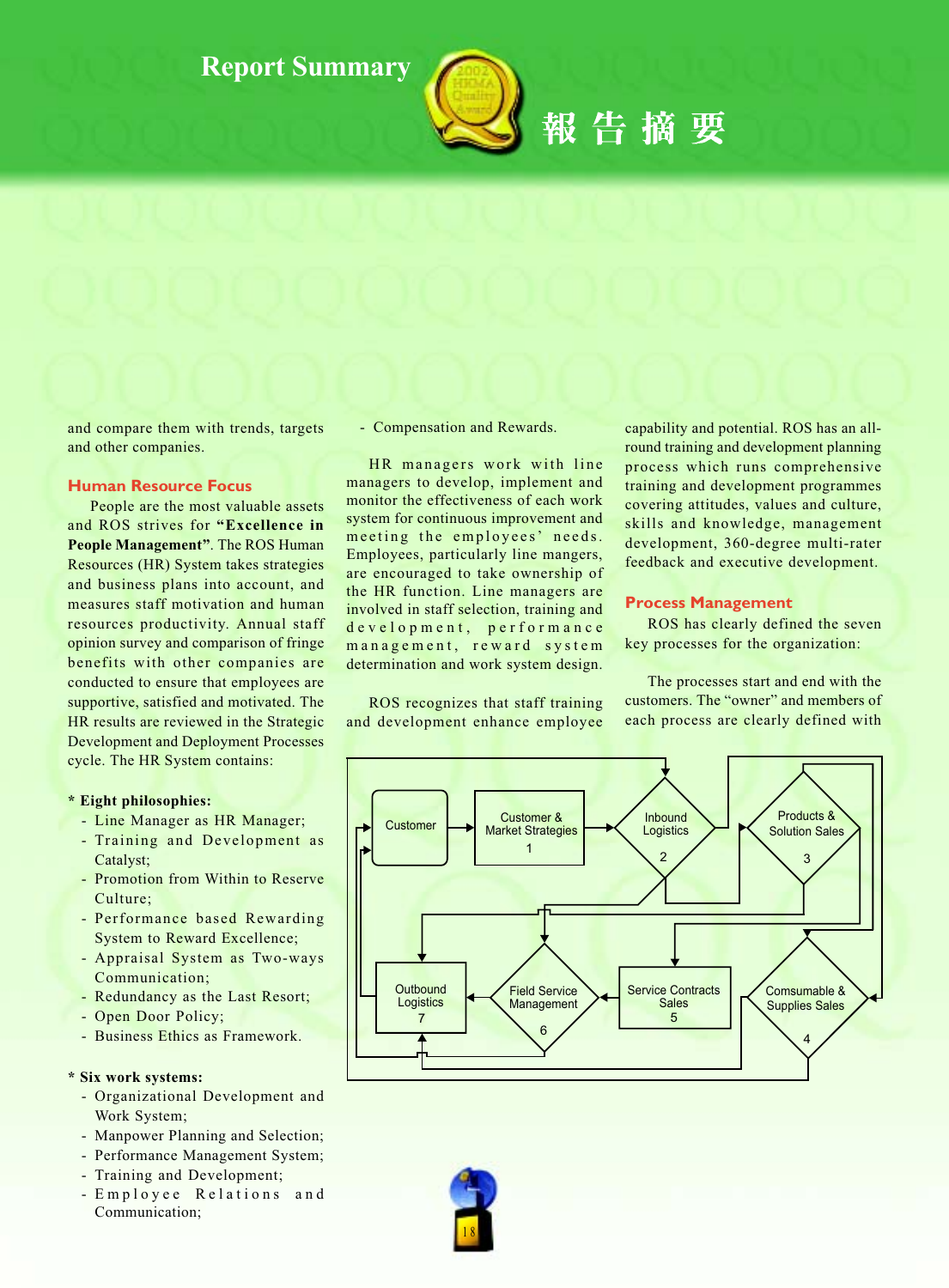

# 報告摘要

and compare them with trends, targets and other companies.

#### **Human Resource Focus**

People are the most valuable assets and ROS strives for "Excellence in People Management". The ROS Human Resources (HR) System takes strategies and business plans into account, and measures staff motivation and human resources productivity. Annual staff opinion survey and comparison of fringe benefits with other companies are conducted to ensure that employees are supportive, satisfied and motivated. The HR results are reviewed in the Strategic **Development and Deployment Processes** cycle. The HR System contains:

#### \* Eight philosophies:

- Line Manager as HR Manager;
- Training and Development as Catalyst:
- Promotion from Within to Reserve Culture:
- Performance based Rewarding **System to Reward Excellence;**
- Appraisal System as Two-ways Communication;
- Redundancy as the Last Resort;
- Open Door Policy;
- Business Ethics as Framework.

#### \* Six work systems:

- Organizational Development and Work System;
- Manpower Planning and Selection;
- Performance Management System;
- Training and Development;
- Employee Relations and Communication:

- Compensation and Rewards.

HR managers work with line managers to develop, implement and monitor the effectiveness of each work system for continuous improvement and meeting the employees' needs. Employees, particularly line mangers, are encouraged to take ownership of the HR function. Line managers are involved in staff selection, training and development, performance management, reward system determination and work system design.

ROS recognizes that staff training and development enhance employee

capability and potential. ROS has an allround training and development planning process which runs comprehensive training and development programmes covering attitudes, values and culture, skills and knowledge, management development, 360-degree multi-rater feedback and executive development.

#### **Process Management**

ROS has clearly defined the seven key processes for the organization:

The processes start and end with the customers. The "owner" and members of each process are clearly defined with



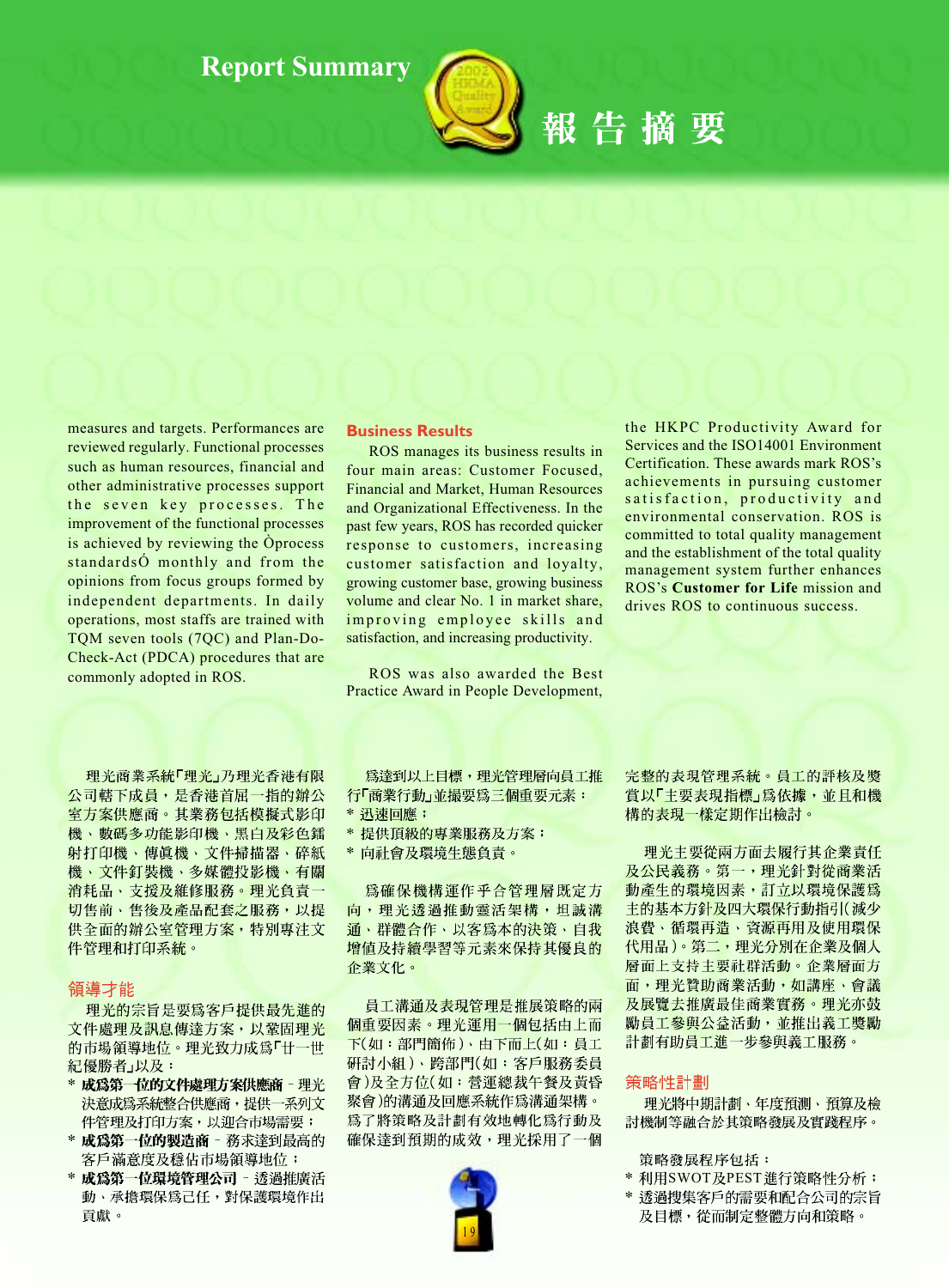

### 報告摘要

measures and targets. Performances are reviewed regularly. Functional processes such as human resources, financial and other administrative processes support the seven key processes. The improvement of the functional processes is achieved by reviewing the Oprocess standards O monthly and from the opinions from focus groups formed by independent departments. In daily operations, most staffs are trained with TQM seven tools (7QC) and Plan-Do-Check-Act (PDCA) procedures that are commonly adopted in ROS.

理光商業系統「理光」乃理光香港有限 公司轄下成員, 是香港首屈一指的辦公 室方案供應商。其業務包括模擬式影印 機、數碼多功能影印機、黑白及彩色鐳 射打印機、傳眞機、文件掃描器、碎紙 機、文件釘裝機、多媒體投影機、有關 消耗品、支援及維修服務。理光負責一 切售前、售後及產品配套之服務,以提 供全面的辦公室管理方案,特別專注文 件管理和打印系統。

#### 領導才能

理光的宗旨是要爲客戶提供最先進的 文件處理及訊息傳達方案,以鞏固理光 的市場領導地位。理光致力成爲「廿一世 紀優勝者」以及:

- \* 成為第一位的文件處理方案供應商 理光 決意成為系統整合供應商,提供一系列文 件管理及打印方案,以迎合市場需要;
- \* 成為第一位的製造商 務求達到最高的 客戶滿意度及穩佔市場領導地位;
- \* 成為第一位環境管理公司 透過推廣活 動、承擔環保為己任,對保護環境作出 貢獻。

#### **Business Results**

ROS manages its business results in four main areas: Customer Focused. Financial and Market, Human Resources and Organizational Effectiveness. In the past few years, ROS has recorded quicker response to customers, increasing customer satisfaction and loyalty, growing customer base, growing business volume and clear No. 1 in market share, improving employee skills and satisfaction, and increasing productivity.

ROS was also awarded the Best Practice Award in People Development,

the HKPC Productivity Award for Services and the ISO14001 Environment Certification. These awards mark ROS's achievements in pursuing customer satisfaction, productivity and environmental conservation. ROS is committed to total quality management and the establishment of the total quality management system further enhances ROS's Customer for Life mission and drives ROS to continuous success.

爲達到以上目標,理光管理層向員工推 行「商業行動」並撮要為三個重要元素:

- \* 提供頂級的專業服務及方案;
- \* 向社會及環境生態負責。

爲確保機構運作乎合管理層既定方 向,理光透過推動靈活架構,坦誠溝 通、群體合作、以客爲本的決策、自我 增值及持續學習等元素來保持其優良的 企業文化。

員工溝通及表現管理是推展策略的兩 個重要因素。理光運用一個包括由上而 下(如:部門簡佈)、由下而上(如:員工 研討小組)、跨部門(如:客戶服務委員 會)及全方位(如:營運總裁午餐及黃昏 聚會)的溝通及回應系統作爲溝通架構。 為了將策略及計劃有效地轉化爲行動及 確保達到預期的成效,理光採用了一個



完整的表現管理系統。員工的評核及獎 賞以「主要表現指標」為依據,並且和機 <mark>構的表現一樣定期作出檢討。</mark>

理光主要從兩方面去履行其企業責任 及公民義務。第一,理光針對從商業活 動產生的環境因素,訂立以環境保護為 主的基本方針及四大環保行動指引(減少 浪費、循環再造、資源再用及使用環保 代用品)。第二,理光分別在企業及個人 層面上支持主要社群活動。企業層面方 面,理光贊助商業活動,如講座、會議 及展覽去推廣最佳商業實務。理光亦鼓 勵員工參與公益活動,並推出義工獎勵 計劃有助員工進一步參與義工服務。

#### 策略性計劃

理光將中期計劃、年度預測、預算及檢 討機制等融合於其策略發展及實踐程序。

- 策略發展程序包括:
- \* 利用SWOT及PEST進行策略性分析;
- \* 透過搜集客戶的需要和配合公司的宗旨 及目標,從而制定整體方向和策略。

<sup>\*</sup> 迅速回應;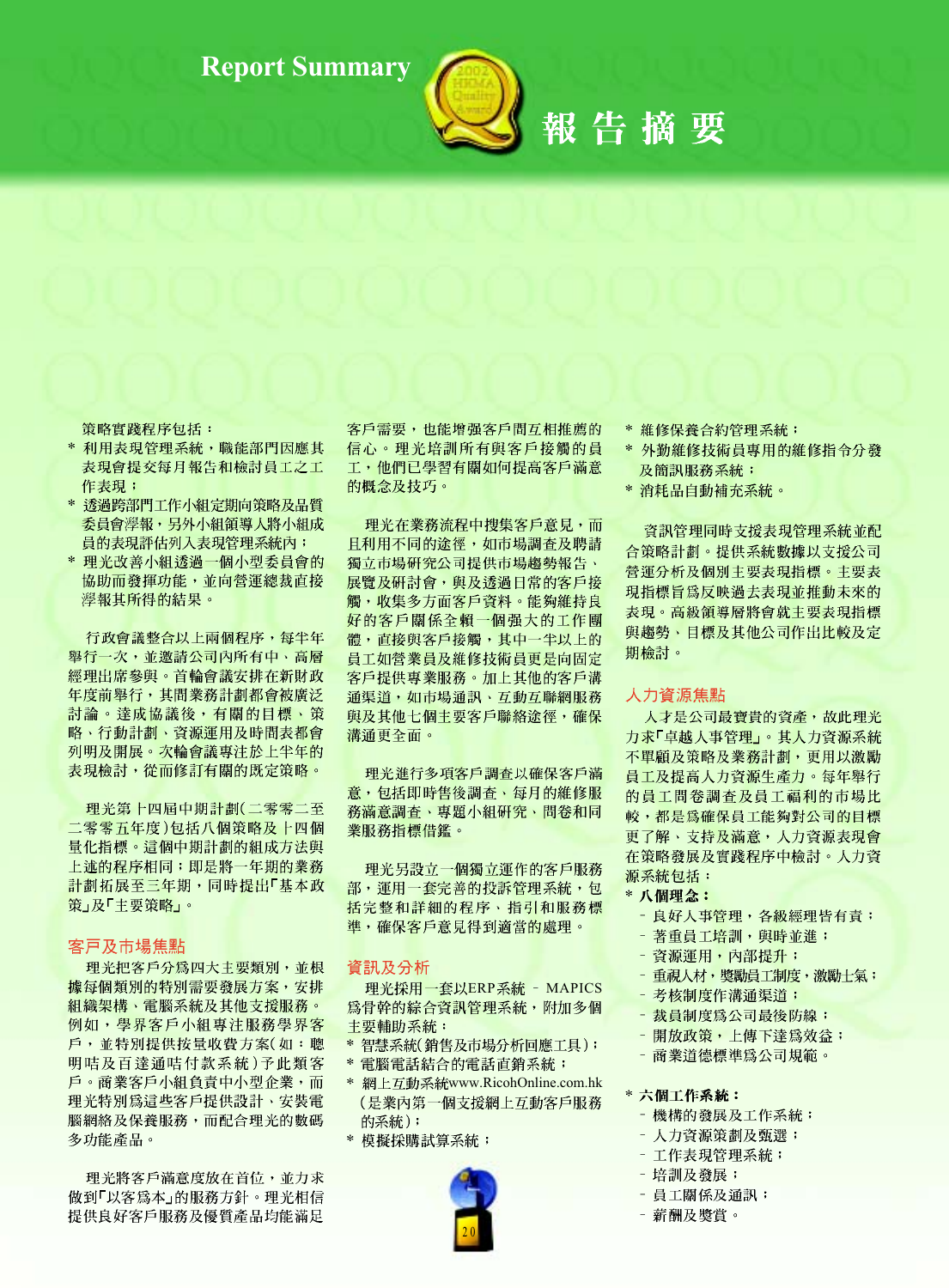

## 報告摘要

策略實踐程序包括:

- \* 利用表現管理系統,職能部門因應其 表現會提交每月報告和檢討員工之工 作表現;
- \* 透過跨部門工作小組定期向策略及品質 委員會學報,另外小組領導人將小組成 員的表現評估列入表現管理系統內;
- \* 理光改善小組透過一個小型委員會的 協助而發揮功能,並向營運總裁直接 灣報其所得的結果。

行政會議整合以上兩個程序,每半年 舉行一次,並邀請公司內所有中、高層 經理出席參與。首輪會議安排在新財政 年度前舉行,其間業務計劃都會被廣泛 討論。達成協議後,有關的目標、策 略、行動計劃、資源運用及時間表都會 列明及開展。次輪會議專注於上半年的 表現檢討,從而修訂有關的既定策略。

理光第十四届中期計劃(二零零二至 二零零五年度)包括八個策略及十四個 量化指標。這個中期計劃的組成方法與 上述的程序相同;即是將一年期的業務 計劃拓展至三年期,同時提出「基本政 策」及「主要策略」。

#### 客戸及市場焦點

理光把客戶分為四大主要類別,並根 據每個類別的特別需要發展方案, 安排 組織架構、電腦系統及其他支援服務。 例如,學界客戶小組專注服務學界客 戶,並特別提供按量收費方案(如:聰 明咭及百達通咭付款系統)予此類客 戶。商業客戶小組負責中小型企業,而 理光特別為這些客戶提供設計、安裝電 腦網絡及保養服務,而配合理光的數碼 多功能產品。

理光將客戶滿意度放在首位,並力求 做到「以客爲本」的服務方針。理光相信 提供良好客戶服務及優質產品均能滿足

客戶需要,也能增强客戶間互相推薦的 信心。理光培訓所有與客戶接觸的員 工,他們已學習有關如何提高客戶滿意 的概念及技巧。

理光在業務流程中搜集客戶意見,而 且利用不同的途徑,如市場調查及聘請 獨立市場研究公司提供市場趨勢報告、 展覽及研討會,與及透過日常的客戶接 觸,收集多方面客戶資料。能夠維持良 好的客戶關係全賴一個强大的工作團 體,直接與客戶接觸,其中一半以上的 員工如營業員及維修技術員更是向固定 客戶提供專業服務。加上其他的客戶溝 通渠道,如市場通訊、互動互聯網服務 與及其他七個主要客戶聯絡途徑,確保 溝通更全面。

理光進行多項客戶調查以確保客戶滿 意,包括即時售後調查、每月的維修服 務滿意調查、專題小組研究、問卷和同 業服務指標借鑑。

理光另設立一個獨立運作的客戶服務 部,運用一套完善的投訴管理系統,包 括完整和詳細的程序、指引和服務標 準,確保客戶意見得到適當的處理。

#### 資訊及分析

理光採用一套以ERP系統 - MAPICS 爲骨幹的綜合資訊管理系統,附加多個 主要輔助系統:

- \* 智慧系統(銷售及市場分析回應工具);
- \* 電腦電話結合的電話直銷系統;
- \* 網上互動系統www.RicohOnline.com.hk (是業內第一個支援網上互動客戶服務 的系統);
- \* 模擬採購試算系統;



\* 維修保養合約管理系統;

- \* 外勤維修技術員專用的維修指令分發 及簡訊服務系統;
- \* 消耗品自動補充系統。

資訊管理同時支援表現管理系統並配 合策略計劃。提供系統數據以支援公司 營運分析及個別主要表現指標。主要表 現指標旨爲反映過去表現並推動未來的 表現。高級領導層將會就主要表現指標 與趨勢、目標及其他公司作出比較及定 期檢討。

#### 人力資源焦點

人才是公司最寶貴的資產,故此理光 力求「卓越人事管理」。其人力資源系統 不單顧及策略及業務計劃,更用以激勵 員工及提高人力資源生產力。每年舉行 的員工問卷調查及員工福利的市場比 較,都是為確保員工能夠對公司的目標 更了解、支持及滿意,人力資源表現會 在策略發展及實踐程序中檢討。人力資 源系統包括:

#### \* 八個理念:

- 良好人事管理,各級經理皆有責;
- 著重員工培訓,與時並進;
- 資源運用, 內部提升;
- 重視人材,獎勵員工制度,激勵士氣;
- 考核制度作溝通渠道;
- 裁員制度為公司最後防線;
- 開放政策, 上傳下達爲效益;
- 商業道德標準為公司規範。

#### \* 六個工作系統:

- 機構的發展及工作系統;
- 人力資源策劃及甄選;
- 工作表現管理系統;
- 培訓及發展;
- 員工關係及通訊;
- 薪酬及獎賞。